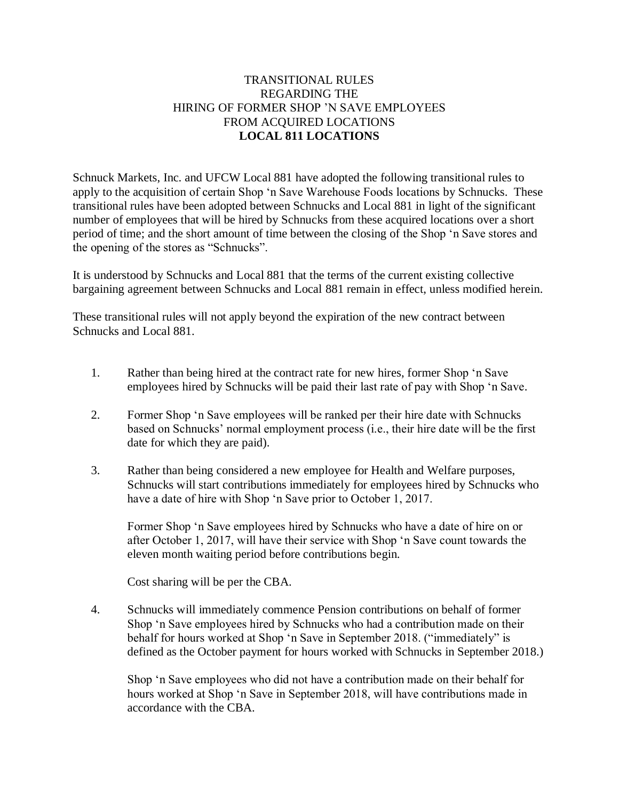## TRANSITIONAL RULES REGARDING THE HIRING OF FORMER SHOP 'N SAVE EMPLOYEES FROM ACQUIRED LOCATIONS **LOCAL 811 LOCATIONS**

Schnuck Markets, Inc. and UFCW Local 881 have adopted the following transitional rules to apply to the acquisition of certain Shop 'n Save Warehouse Foods locations by Schnucks. These transitional rules have been adopted between Schnucks and Local 881 in light of the significant number of employees that will be hired by Schnucks from these acquired locations over a short period of time; and the short amount of time between the closing of the Shop 'n Save stores and the opening of the stores as "Schnucks".

It is understood by Schnucks and Local 881 that the terms of the current existing collective bargaining agreement between Schnucks and Local 881 remain in effect, unless modified herein.

These transitional rules will not apply beyond the expiration of the new contract between Schnucks and Local 881.

- 1. Rather than being hired at the contract rate for new hires, former Shop 'n Save employees hired by Schnucks will be paid their last rate of pay with Shop 'n Save.
- 2. Former Shop 'n Save employees will be ranked per their hire date with Schnucks based on Schnucks' normal employment process (i.e., their hire date will be the first date for which they are paid).
- 3. Rather than being considered a new employee for Health and Welfare purposes, Schnucks will start contributions immediately for employees hired by Schnucks who have a date of hire with Shop 'n Save prior to October 1, 2017.

Former Shop 'n Save employees hired by Schnucks who have a date of hire on or after October 1, 2017, will have their service with Shop 'n Save count towards the eleven month waiting period before contributions begin.

Cost sharing will be per the CBA.

4. Schnucks will immediately commence Pension contributions on behalf of former Shop 'n Save employees hired by Schnucks who had a contribution made on their behalf for hours worked at Shop 'n Save in September 2018. ("immediately" is defined as the October payment for hours worked with Schnucks in September 2018.)

Shop 'n Save employees who did not have a contribution made on their behalf for hours worked at Shop 'n Save in September 2018, will have contributions made in accordance with the CBA.